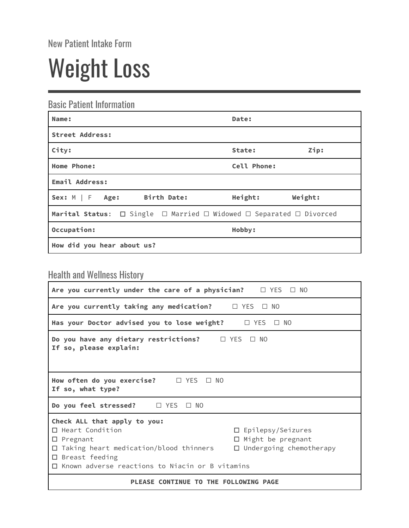New Patient Intake Form

## Weight Loss

Basic Patient Information

| Name:                                                                                        | Date:       |         |
|----------------------------------------------------------------------------------------------|-------------|---------|
| <b>Street Address:</b>                                                                       |             |         |
| City:                                                                                        | State:      | Zip:    |
| Home Phone:                                                                                  | Cell Phone: |         |
| Email Address:                                                                               |             |         |
| Birth Date:<br>Sex: $M \mid F$ Age:                                                          | Height:     | Weight: |
| Marital Status: $\Box$ Single $\Box$ Married $\Box$ Widowed $\Box$ Separated $\Box$ Divorced |             |         |
| Occupation:                                                                                  | Hobby:      |         |
| How did you hear about us?                                                                   |             |         |

## Health and Wellness History

| Are you currently under the care of a physician? $\Box$ YES $\Box$ NO                                                                                                                                          |                                                                                        |  |  |
|----------------------------------------------------------------------------------------------------------------------------------------------------------------------------------------------------------------|----------------------------------------------------------------------------------------|--|--|
| Are you currently taking any medication? $\square$ YES $\square$ NO                                                                                                                                            |                                                                                        |  |  |
| Has your Doctor advised you to lose weight? $\Box$ YES $\Box$ NO                                                                                                                                               |                                                                                        |  |  |
| Do you have any dietary restrictions? $\Box$ YES $\Box$ NO<br>If so, please explain:                                                                                                                           |                                                                                        |  |  |
| How often do you exercise? $\Box$ YES<br>$\Box$ No<br>If so, what type?                                                                                                                                        |                                                                                        |  |  |
| Do you feel stressed? □ YES □ NO                                                                                                                                                                               |                                                                                        |  |  |
| Check ALL that apply to you:<br>$\Box$ Heart Condition<br>$\square$ Pregnant<br>Taking heart medication/blood thinners<br>□<br>$\Box$ Breast feeding<br>$\Box$ Known adverse reactions to Niacin or B vitamins | $\Box$ Epilepsy/Seizures<br>$\Box$ Might be pregnant<br>$\Box$ Undergoing chemotherapy |  |  |
| PLEASE CONTINUE TO THE FOLLOWING PAGE                                                                                                                                                                          |                                                                                        |  |  |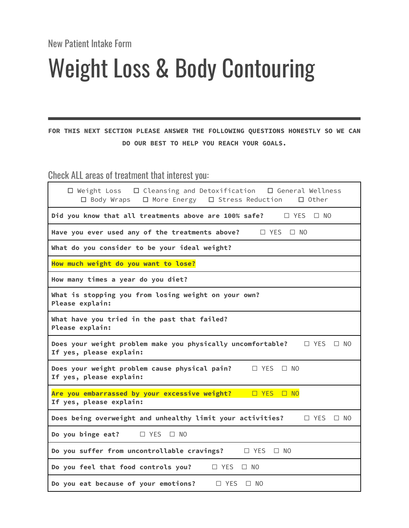New Patient Intake Form

## Weight Loss & Body Contouring

**FOR THIS NEXT SECTION PLEASE ANSWER THE FOLLOWING QUESTIONS HONESTLY SO WE CAN DO OUR BEST TO HELP YOU REACH YOUR GOALS.**

Check ALL areas of treatment that interest you:

| $\Box$ Weight Loss $\Box$ Cleansing and Detoxification $\Box$ General Wellness<br>$\square$ Body Wraps<br>$\Box$ More Energy $\Box$ Stress Reduction<br>$\Box$ Other |  |  |
|----------------------------------------------------------------------------------------------------------------------------------------------------------------------|--|--|
| Did you know that all treatments above are 100% safe?<br>□ YES<br>$\Box$ NO                                                                                          |  |  |
| Have you ever used any of the treatments above?<br>$\Box$ YES<br>$\Box$ No                                                                                           |  |  |
| What do you consider to be your ideal weight?                                                                                                                        |  |  |
| How much weight do you want to lose?                                                                                                                                 |  |  |
| How many times a year do you diet?                                                                                                                                   |  |  |
| What is stopping you from losing weight on your own?<br>Please explain:                                                                                              |  |  |
| What have you tried in the past that failed?<br>Please explain:                                                                                                      |  |  |
| Does your weight problem make you physically uncomfortable?<br>$\Box$ YES<br>$\Box$ NO<br>If yes, please explain:                                                    |  |  |
| Does your weight problem cause physical pain?<br>$\Box$ YES<br>$\Box$ No<br>If yes, please explain:                                                                  |  |  |
| Are you embarrassed by your excessive weight?<br>D YES D NO<br>If yes, please explain:                                                                               |  |  |
| Does being overweight and unhealthy limit your activities?<br>$\Box$ YES<br>$\Box$ NO                                                                                |  |  |
| Do you binge eat?<br>$\Box$ YES<br>$\Box$ NO                                                                                                                         |  |  |
| Do you suffer from uncontrollable cravings?<br>$\Box$ YES<br>$\square$ NO                                                                                            |  |  |
| Do you feel that food controls you?<br>$\Box$ YES<br>$\Box$ NO                                                                                                       |  |  |
| Do you eat because of your emotions?<br>$\Box$ YES<br>$\Box$ NO                                                                                                      |  |  |